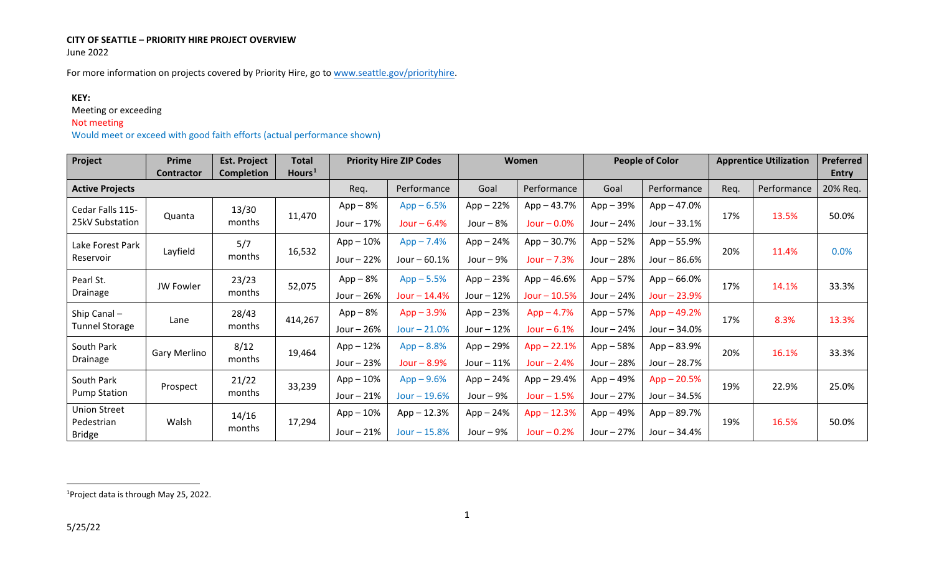### <span id="page-0-0"></span>**CITY OF SEATTLE – PRIORITY HIRE PROJECT OVERVIEW** June 2022

For more information on projects covered by Priority Hire, go to [www.seattle.gov/priorityhire.](http://www.seattle.gov/priorityhire)

## **KEY:**

Meeting or exceeding

## Not meeting

Would meet or exceed with good faith efforts (actual performance shown)

| Project                                            | Prime<br><b>Contractor</b> | <b>Est. Project</b><br><b>Completion</b> | <b>Total</b><br>Hours <sup>1</sup> |                           | <b>Priority Hire ZIP Codes</b> |                            | <b>Women</b>                    | <b>People of Color</b>     |                                | <b>Apprentice Utilization</b> |             | <b>Preferred</b><br><b>Entry</b> |
|----------------------------------------------------|----------------------------|------------------------------------------|------------------------------------|---------------------------|--------------------------------|----------------------------|---------------------------------|----------------------------|--------------------------------|-------------------------------|-------------|----------------------------------|
| <b>Active Projects</b>                             |                            |                                          |                                    | Req.                      | Performance                    | Goal                       | Performance                     | Goal                       | Performance                    | Req.                          | Performance | 20% Req.                         |
| Cedar Falls 115-<br>25kV Substation                | Quanta                     | 13/30<br>months                          | 11,470                             | $App-8%$<br>Jour $-17%$   | $App - 6.5%$<br>Jour $-6.4%$   | $App-22%$<br>Jour $-8%$    | App - 43.7%<br>Jour $-0.0%$     | $App-39%$<br>Jour $-24%$   | $App - 47.0%$<br>Jour - 33.1%  | 17%                           | 13.5%       | 50.0%                            |
| Lake Forest Park<br>Reservoir                      | Layfield                   | 5/7<br>months                            | 16,532                             | $App-10%$<br>Jour - 22%   | $App - 7.4%$<br>Jour - 60.1%   | $App-24%$<br>Jour $-9%$    | $App - 30.7%$<br>$Jour - 7.3%$  | $App-52%$<br>Jour $-28%$   | App - 55.9%<br>Jour - 86.6%    | 20%                           | 11.4%       | 0.0%                             |
| Pearl St.<br>Drainage                              | JW Fowler                  | 23/23<br>months                          | 52,075                             | $App-8%$<br>Jour - 26%    | $App - 5.5%$<br>$Jour - 14.4%$ | $App - 23%$<br>Jour $-12%$ | $App - 46.6%$<br>$Jour - 10.5%$ | $App-57%$<br>Jour $-24%$   | $App - 66.0%$<br>Jour $-23.9%$ | 17%                           | 14.1%       | 33.3%                            |
| Ship Canal-<br><b>Tunnel Storage</b>               | Lane                       | 28/43<br>months                          | 414,267                            | $App-8%$<br>Jour - 26%    | $App - 3.9%$<br>Jour $-21.0%$  | $App-23%$<br>Jour $-12%$   | $App - 4.7%$<br>Jour $-6.1%$    | $App-57%$<br>Jour $-24%$   | $App - 49.2%$<br>Jour - 34.0%  | 17%                           | 8.3%        | 13.3%                            |
| South Park<br>Drainage                             | Gary Merlino               | 8/12<br>months                           | 19,464                             | $App-12%$<br>Jour $-23%$  | $App - 8.8%$<br>Jour $-8.9%$   | App - 29%<br>Jour $-11%$   | $App - 22.1%$<br>Jour $-2.4%$   | $App - 58%$<br>Jour $-28%$ | $App - 83.9%$<br>Jour - 28.7%  | 20%                           | 16.1%       | 33.3%                            |
| South Park<br><b>Pump Station</b>                  | Prospect                   | 21/22<br>months                          | 33,239                             | $App-10%$<br>Jour $-21%$  | $App - 9.6%$<br>Jour $-19.6%$  | $App - 24%$<br>Jour $-9%$  | App-29.4%<br>Jour $-1.5%$       | $App-49%$<br>Jour $-27%$   | $App - 20.5%$<br>Jour - 34.5%  | 19%                           | 22.9%       | 25.0%                            |
| <b>Union Street</b><br>Pedestrian<br><b>Bridge</b> | Walsh                      | 14/16<br>months                          | 17,294                             | $App-10\%$<br>Jour $-21%$ | App - 12.3%<br>$Jour - 15.8%$  | App - 24%<br>Jour $-9%$    | $App - 12.3%$<br>Jour $-0.2%$   | $App - 49%$<br>Jour $-27%$ | App - 89.7%<br>Jour - 34.4%    | 19%                           | 16.5%       | 50.0%                            |

1 Project data is through May 25, 2022.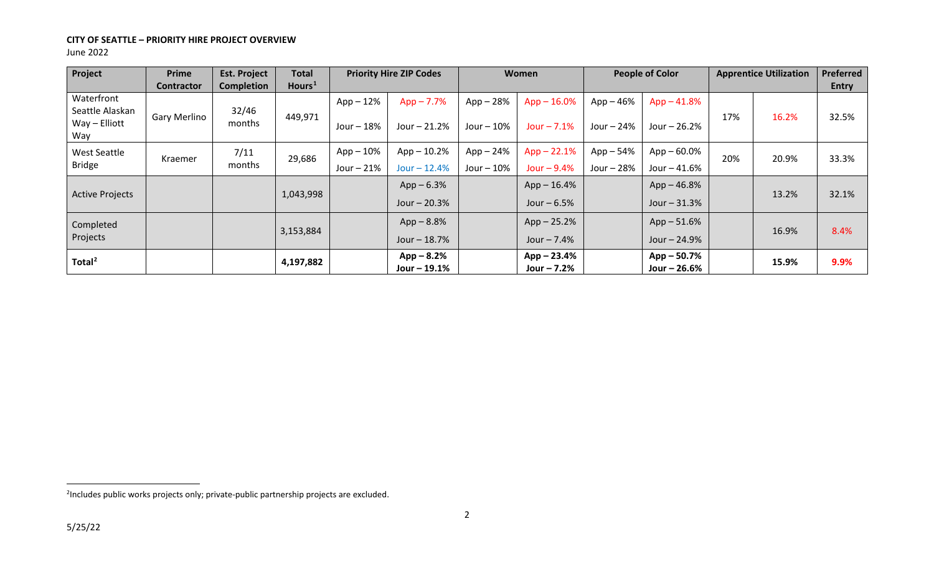### <span id="page-1-0"></span>**CITY OF SEATTLE – PRIORITY HIRE PROJECT OVERVIEW** June 2022

| Project                       | Prime             | <b>Est. Project</b> | <b>Total</b>       |             | <b>Priority Hire ZIP Codes</b> |             | <b>Women</b>                   |             | <b>People of Color</b>         |       | <b>Apprentice Utilization</b> | Preferred    |
|-------------------------------|-------------------|---------------------|--------------------|-------------|--------------------------------|-------------|--------------------------------|-------------|--------------------------------|-------|-------------------------------|--------------|
|                               | <b>Contractor</b> | <b>Completion</b>   | Hours <sup>1</sup> |             |                                |             |                                |             |                                |       |                               | <b>Entry</b> |
| Waterfront<br>Seattle Alaskan |                   | 32/46               |                    | $App-12%$   | $App - 7.7%$                   | $App-28%$   | $App - 16.0%$                  | $App-46%$   | $App - 41.8%$                  |       |                               |              |
| Way - Elliott<br>Way          | Gary Merlino      | months              | 449,971            | Jour $-18%$ | Jour $-21.2%$                  | Jour $-10%$ | Jour $-7.1%$                   | Jour $-24%$ | Jour $-26.2%$                  | 17%   | 16.2%                         | 32.5%        |
| West Seattle                  | Kraemer           | 7/11                | 29,686             | App – 10%   | $App - 10.2%$                  | App – 24%   | $App - 22.1%$                  | $App - 54%$ | $App - 60.0\%$                 | 20%   | 20.9%                         | 33.3%        |
| <b>Bridge</b>                 |                   | months              |                    | Jour $-21%$ | $Jour - 12.4%$                 | Jour $-10%$ | Jour $-9.4%$                   | Jour - 28%  | Jour - 41.6%                   |       |                               |              |
| <b>Active Projects</b>        |                   |                     | 1,043,998          |             | $App - 6.3%$                   |             | $App - 16.4%$                  |             | $App - 46.8%$                  | 13.2% |                               | 32.1%        |
|                               |                   |                     |                    |             | Jour - 20.3%                   |             | Jour $-6.5%$                   |             | Jour $-31.3%$                  |       |                               |              |
| Completed                     |                   |                     | 3,153,884          |             | $App - 8.8%$                   |             | $App - 25.2%$                  |             | $App - 51.6%$                  |       | 16.9%                         | 8.4%         |
| Projects                      |                   |                     |                    |             | Jour $-18.7%$                  |             | Jour $-7.4%$                   |             | Jour $-24.9%$                  |       |                               |              |
| Total $^2$                    |                   |                     | 4,197,882          |             | $App - 8.2%$<br>Jour $-19.1%$  |             | $App - 23.4%$<br>Jour $-7.2\%$ |             | $App - 50.7%$<br>Jour $-26.6%$ |       | 15.9%                         | 9.9%         |

<sup>&</sup>lt;sup>2</sup>Includes public works projects only; private-public partnership projects are excluded.